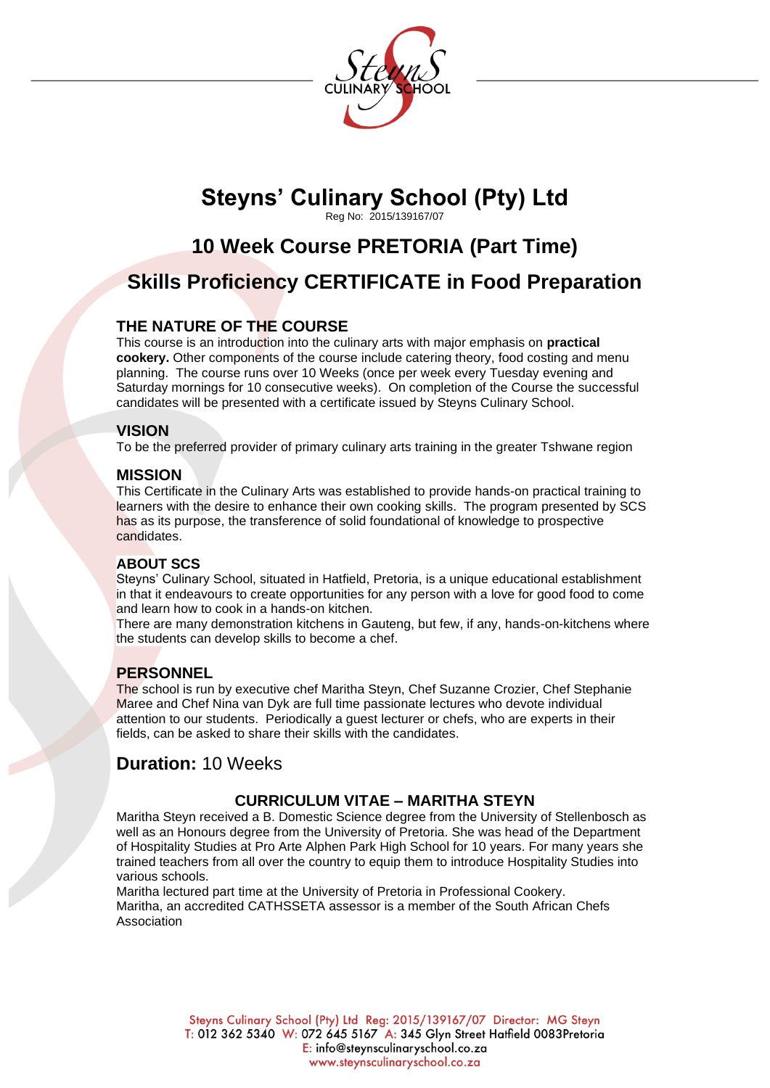

## **Steyns' Culinary School (Pty) Ltd** Reg No: 2015/139167/07

# **10 Week Course PRETORIA (Part Time)**

# **Skills Proficiency CERTIFICATE in Food Preparation**

## **THE NATURE OF THE COURSE**

This course is an introduction into the culinary arts with major emphasis on **practical cookery.** Other components of the course include catering theory, food costing and menu planning. The course runs over 10 Weeks (once per week every Tuesday evening and Saturday mornings for 10 consecutive weeks). On completion of the Course the successful candidates will be presented with a certificate issued by Steyns Culinary School.

#### **VISION**

To be the preferred provider of primary culinary arts training in the greater Tshwane region

#### **MISSION**

This Certificate in the Culinary Arts was established to provide hands-on practical training to learners with the desire to enhance their own cooking skills. The program presented by SCS has as its purpose, the transference of solid foundational of knowledge to prospective candidates.

#### **ABOUT SCS**

Steyns' Culinary School, situated in Hatfield, Pretoria, is a unique educational establishment in that it endeavours to create opportunities for any person with a love for good food to come and learn how to cook in a hands-on kitchen.

There are many demonstration kitchens in Gauteng, but few, if any, hands-on-kitchens where the students can develop skills to become a chef.

#### **PERSONNEL**

The school is run by executive chef Maritha Steyn, Chef Suzanne Crozier, Chef Stephanie Maree and Chef Nina van Dyk are full time passionate lectures who devote individual attention to our students. Periodically a guest lecturer or chefs, who are experts in their fields, can be asked to share their skills with the candidates.

## **Duration:** 10 Weeks

#### **CURRICULUM VITAE – MARITHA STEYN**

Maritha Steyn received a B. Domestic Science degree from the University of Stellenbosch as well as an Honours degree from the University of Pretoria. She was head of the Department of Hospitality Studies at Pro Arte Alphen Park High School for 10 years. For many years she trained teachers from all over the country to equip them to introduce Hospitality Studies into various schools.

Maritha lectured part time at the University of Pretoria in Professional Cookery. Maritha, an accredited CATHSSETA assessor is a member of the South African Chefs Association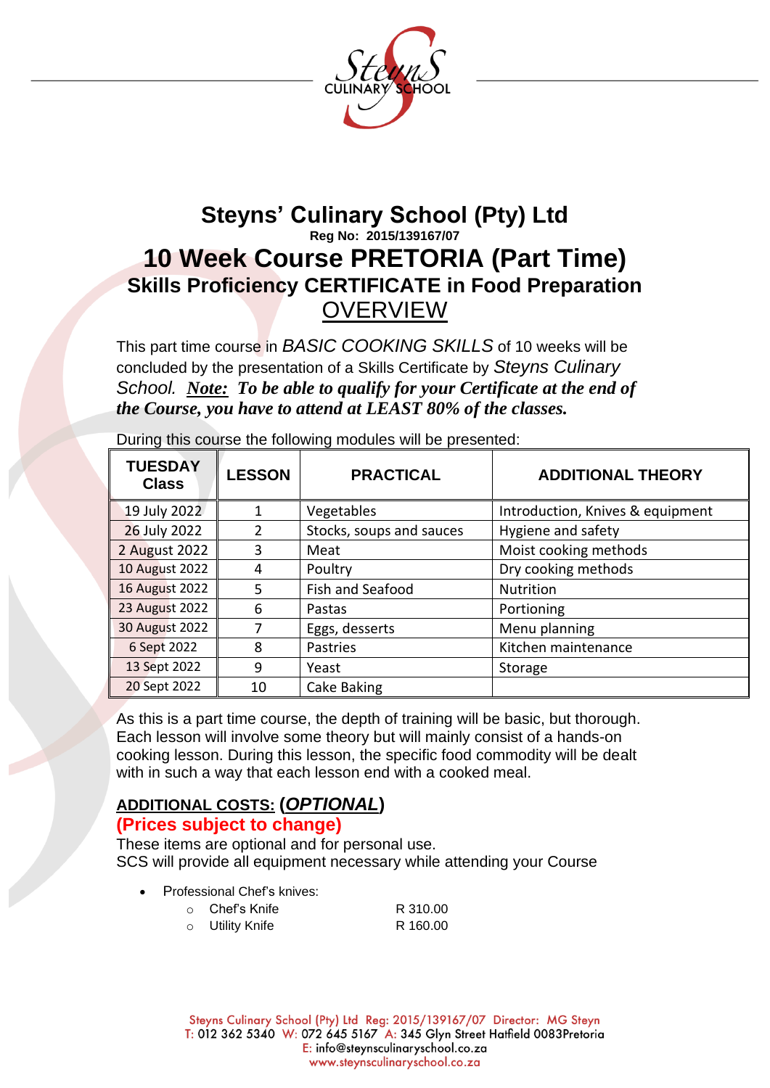

# **Steyns' Culinary School (Pty) Ltd Reg No: 2015/139167/07 10 Week Course PRETORIA (Part Time) Skills Proficiency CERTIFICATE in Food Preparation OVERVIEW**

This part time course in *BASIC COOKING SKILLS* of 10 weeks will be concluded by the presentation of a Skills Certificate by *Steyns Culinary School. Note: To be able to qualify for your Certificate at the end of the Course, you have to attend at LEAST 80% of the classes.*

| <b>TUESDAY</b><br><b>Class</b> | <b>LESSON</b> | <b>PRACTICAL</b>         | <b>ADDITIONAL THEORY</b>         |
|--------------------------------|---------------|--------------------------|----------------------------------|
| 19 July 2022                   | 1             | Vegetables               | Introduction, Knives & equipment |
| 26 July 2022                   | 2             | Stocks, soups and sauces | Hygiene and safety               |
| 2 August 2022                  | 3             | Meat                     | Moist cooking methods            |
| <b>10 August 2022</b>          | 4             | Poultry                  | Dry cooking methods              |
| 16 August 2022                 | 5             | Fish and Seafood         | <b>Nutrition</b>                 |
| 23 August 2022                 | 6             | Pastas                   | Portioning                       |
| 30 August 2022                 | 7             | Eggs, desserts           | Menu planning                    |
| 6 Sept 2022                    | 8             | Pastries                 | Kitchen maintenance              |
| 13 Sept 2022                   | 9             | Yeast                    | Storage                          |
| 20 Sept 2022                   | 10            | Cake Baking              |                                  |

During this course the following modules will be presented:

As this is a part time course, the depth of training will be basic, but thorough. Each lesson will involve some theory but will mainly consist of a hands-on cooking lesson. During this lesson, the specific food commodity will be dealt with in such a way that each lesson end with a cooked meal.

# **ADDITIONAL COSTS: (***OPTIONAL***)**

## **(Prices subject to change)**

These items are optional and for personal use. SCS will provide all equipment necessary while attending your Course

• Professional Chef's knives:

| $\cap$ | Chef's Knife    | R 310.00 |
|--------|-----------------|----------|
|        | o Utility Knife | R 160.00 |